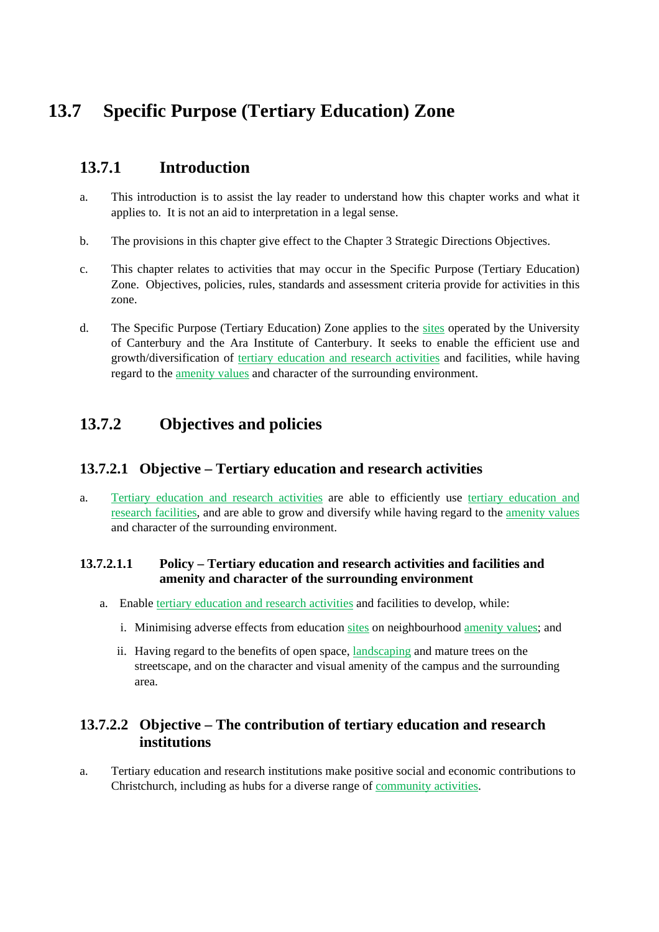# **13.7 Specific Purpose (Tertiary Education) Zone**

## **13.7.1 Introduction**

- a. This introduction is to assist the lay reader to understand how this chapter works and what it applies to. It is not an aid to interpretation in a legal sense.
- b. The provisions in this chapter give effect to the Chapter 3 Strategic Directions Objectives.
- c. This chapter relates to activities that may occur in the Specific Purpose (Tertiary Education) Zone. Objectives, policies, rules, standards and assessment criteria provide for activities in this zone.
- d. The Specific Purpose (Tertiary Education) Zone applies to the sites operated by the University of Canterbury and the Ara Institute of Canterbury. It seeks to enable the efficient use and growth/diversification of tertiary education and research activities and facilities, while having regard to the amenity values and character of the surrounding environment.

## **13.7.2 Objectives and policies**

### **13.7.2.1 Objective – Tertiary education and research activities**

a. Tertiary education and research activities are able to efficiently use tertiary education and research facilities, and are able to grow and diversify while having regard to the amenity values and character of the surrounding environment.

#### **13.7.2.1.1 Policy – Tertiary education and research activities and facilities and amenity and character of the surrounding environment**

- a. Enable tertiary education and research activities and facilities to develop, while:
	- i. Minimising adverse effects from education sites on neighbourhood amenity values; and
	- ii. Having regard to the benefits of open space, landscaping and mature trees on the streetscape, and on the character and visual amenity of the campus and the surrounding area.

### **13.7.2.2 Objective – The contribution of tertiary education and research institutions**

a. Tertiary education and research institutions make positive social and economic contributions to Christchurch, including as hubs for a diverse range of community activities.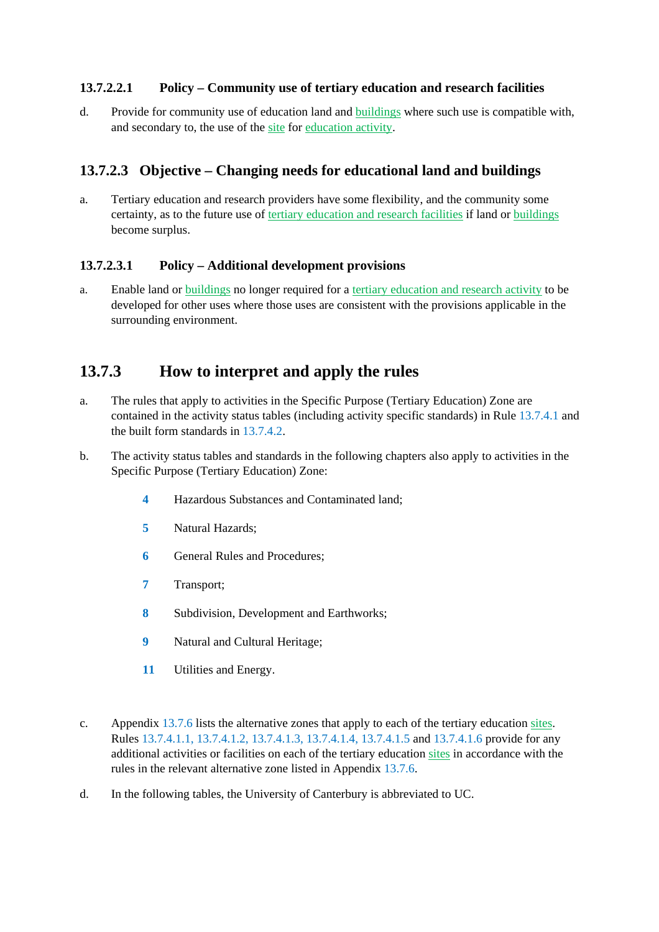#### **13.7.2.2.1 Policy – Community use of tertiary education and research facilities**

d. Provide for community use of education land and buildings where such use is compatible with, and secondary to, the use of the site for education activity.

### **13.7.2.3 Objective – Changing needs for educational land and buildings**

a. Tertiary education and research providers have some flexibility, and the community some certainty, as to the future use of tertiary education and research facilities if land or buildings become surplus.

#### **13.7.2.3.1 Policy – Additional development provisions**

a. Enable land or buildings no longer required for a tertiary education and research activity to be developed for other uses where those uses are consistent with the provisions applicable in the surrounding environment.

## **13.7.3 How to interpret and apply the rules**

- a. The rules that apply to activities in the Specific Purpose (Tertiary Education) Zone are contained in the activity status tables (including activity specific standards) in Rule 13.7.4.1 and the built form standards in 13.7.4.2.
- b. The activity status tables and standards in the following chapters also apply to activities in the Specific Purpose (Tertiary Education) Zone:
	- **4** Hazardous Substances and Contaminated land;
	- **5** Natural Hazards;
	- **6** General Rules and Procedures:
	- **7** Transport;
	- **8** Subdivision, Development and Earthworks;
	- **9** Natural and Cultural Heritage;
	- **11** Utilities and Energy.
- c. Appendix 13.7.6 lists the alternative zones that apply to each of the tertiary education sites. Rules 13.7.4.1.1, 13.7.4.1.2, 13.7.4.1.3, 13.7.4.1.4, 13.7.4.1.5 and 13.7.4.1.6 provide for any additional activities or facilities on each of the tertiary education sites in accordance with the rules in the relevant alternative zone listed in Appendix 13.7.6.
- d. In the following tables, the University of Canterbury is abbreviated to UC.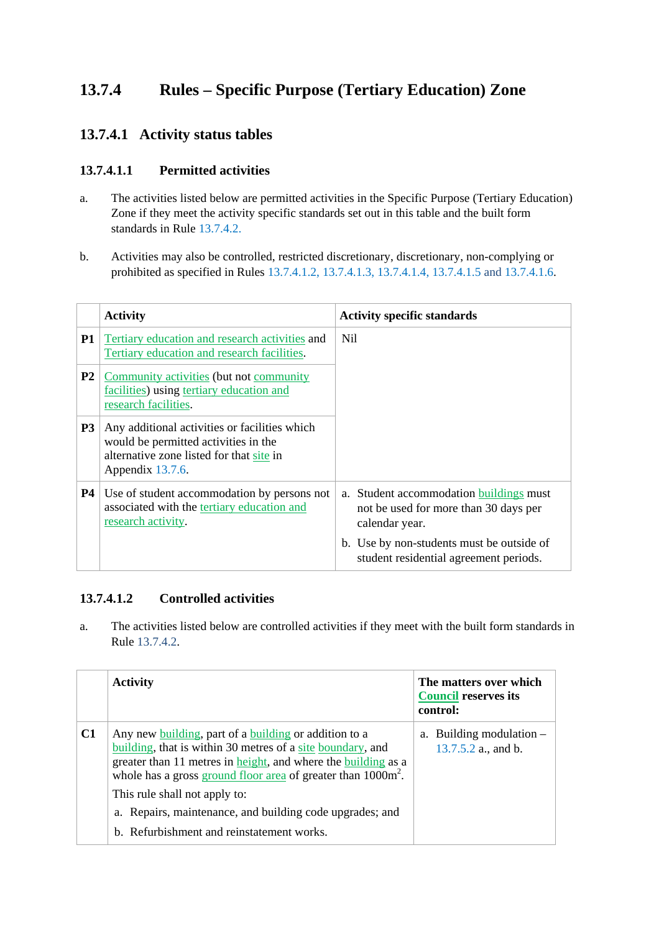## **13.7.4 Rules – Specific Purpose (Tertiary Education) Zone**

## **13.7.4.1 Activity status tables**

#### **13.7.4.1.1 Permitted activities**

- a. The activities listed below are permitted activities in the Specific Purpose (Tertiary Education) Zone if they meet the activity specific standards set out in this table and the built form standards in Rule 13.7.4.2.
- b. Activities may also be controlled, restricted discretionary, discretionary, non-complying or prohibited as specified in Rules 13.7.4.1.2, 13.7.4.1.3, 13.7.4.1.4, 13.7.4.1.5 and 13.7.4.1.6.

|                | <b>Activity</b>                                                                                                                                       | <b>Activity specific standards</b>                                                                         |
|----------------|-------------------------------------------------------------------------------------------------------------------------------------------------------|------------------------------------------------------------------------------------------------------------|
| <b>P1</b>      | Tertiary education and research activities and<br>Tertiary education and research facilities.                                                         | Nil.                                                                                                       |
| P <sub>2</sub> | Community activities (but not community<br>facilities) using tertiary education and<br>research facilities.                                           |                                                                                                            |
| P <sub>3</sub> | Any additional activities or facilities which<br>would be permitted activities in the<br>alternative zone listed for that site in<br>Appendix 13.7.6. |                                                                                                            |
| <b>P4</b>      | Use of student accommodation by persons not<br>associated with the tertiary education and<br>research activity.                                       | Student accommodation buildings must<br>$a_{-}$<br>not be used for more than 30 days per<br>calendar year. |
|                |                                                                                                                                                       | b. Use by non-students must be outside of<br>student residential agreement periods.                        |

#### **13.7.4.1.2 Controlled activities**

a. The activities listed below are controlled activities if they meet with the built form standards in Rule 13.7.4.2.

|    | <b>Activity</b>                                                                                                                                                                                                                                                          | The matters over which<br><b>Council reserves its</b><br>control: |
|----|--------------------------------------------------------------------------------------------------------------------------------------------------------------------------------------------------------------------------------------------------------------------------|-------------------------------------------------------------------|
| C1 | Any new <u>building</u> , part of a building or addition to a<br>building, that is within 30 metres of a site boundary, and<br>greater than 11 metres in height, and where the building as a<br>whole has a gross ground floor area of greater than 1000m <sup>2</sup> . | a. Building modulation $-$<br>13.7.5.2 a., and b.                 |
|    | This rule shall not apply to:<br>a. Repairs, maintenance, and building code upgrades; and                                                                                                                                                                                |                                                                   |
|    | b. Refurbishment and reinstatement works.                                                                                                                                                                                                                                |                                                                   |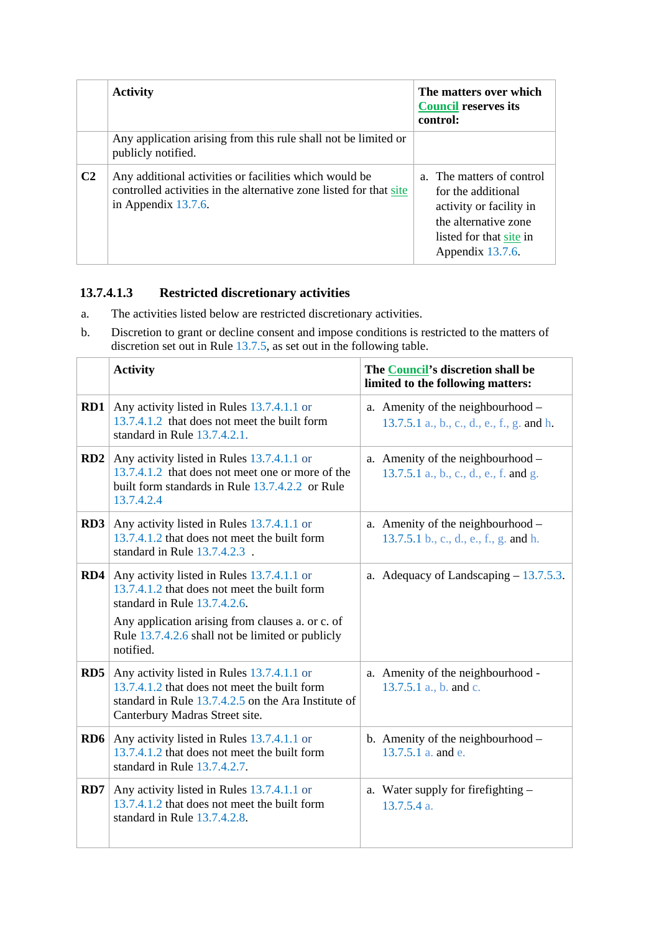|                | <b>Activity</b>                                                                                                                                        | The matters over which<br><b>Council reserves its</b><br>control:                                                                                 |
|----------------|--------------------------------------------------------------------------------------------------------------------------------------------------------|---------------------------------------------------------------------------------------------------------------------------------------------------|
|                | Any application arising from this rule shall not be limited or<br>publicly notified.                                                                   |                                                                                                                                                   |
| C <sub>2</sub> | Any additional activities or facilities which would be<br>controlled activities in the alternative zone listed for that site<br>in Appendix $13.7.6$ . | a. The matters of control<br>for the additional<br>activity or facility in<br>the alternative zone<br>listed for that site in<br>Appendix 13.7.6. |

### **13.7.4.1.3 Restricted discretionary activities**

- a. The activities listed below are restricted discretionary activities.
- b. Discretion to grant or decline consent and impose conditions is restricted to the matters of discretion set out in Rule 13.7.5, as set out in the following table.

|                 | <b>Activity</b>                                                                                                                                                                     | The Council's discretion shall be<br>limited to the following matters:          |
|-----------------|-------------------------------------------------------------------------------------------------------------------------------------------------------------------------------------|---------------------------------------------------------------------------------|
| RD1             | Any activity listed in Rules 13.7.4.1.1 or<br>13.7.4.1.2 that does not meet the built form<br>standard in Rule 13.7.4.2.1.                                                          | a. Amenity of the neighbourhood –<br>13.7.5.1 a., b., c., d., e., f., g. and h. |
| RD2             | Any activity listed in Rules 13.7.4.1.1 or<br>13.7.4.1.2 that does not meet one or more of the<br>built form standards in Rule 13.7.4.2.2 or Rule<br>13.7.4.2.4                     | a. Amenity of the neighbourhood –<br>13.7.5.1 a., b., c., d., e., f. and g.     |
| RD3             | Any activity listed in Rules 13.7.4.1.1 or<br>13.7.4.1.2 that does not meet the built form<br>standard in Rule 13.7.4.2.3.                                                          | a. Amenity of the neighbourhood –<br>13.7.5.1 b., c., d., e., f., g. and h.     |
| RD4             | Any activity listed in Rules 13.7.4.1.1 or<br>13.7.4.1.2 that does not meet the built form<br>standard in Rule 13.7.4.2.6.                                                          | a. Adequacy of Landscaping $-13.7.5.3$ .                                        |
|                 | Any application arising from clauses a. or c. of<br>Rule 13.7.4.2.6 shall not be limited or publicly<br>notified.                                                                   |                                                                                 |
| RD5             | Any activity listed in Rules 13.7.4.1.1 or<br>13.7.4.1.2 that does not meet the built form<br>standard in Rule 13.7.4.2.5 on the Ara Institute of<br>Canterbury Madras Street site. | a. Amenity of the neighbourhood -<br>13.7.5.1 a., b. and c.                     |
| R <sub>D6</sub> | Any activity listed in Rules 13.7.4.1.1 or<br>13.7.4.1.2 that does not meet the built form<br>standard in Rule 13.7.4.2.7.                                                          | b. Amenity of the neighbourhood -<br>13.7.5.1 a. and e.                         |
| RD7             | Any activity listed in Rules 13.7.4.1.1 or<br>13.7.4.1.2 that does not meet the built form<br>standard in Rule $13.7.4.2.8$ .                                                       | a. Water supply for firefighting -<br>13.7.5.4 a.                               |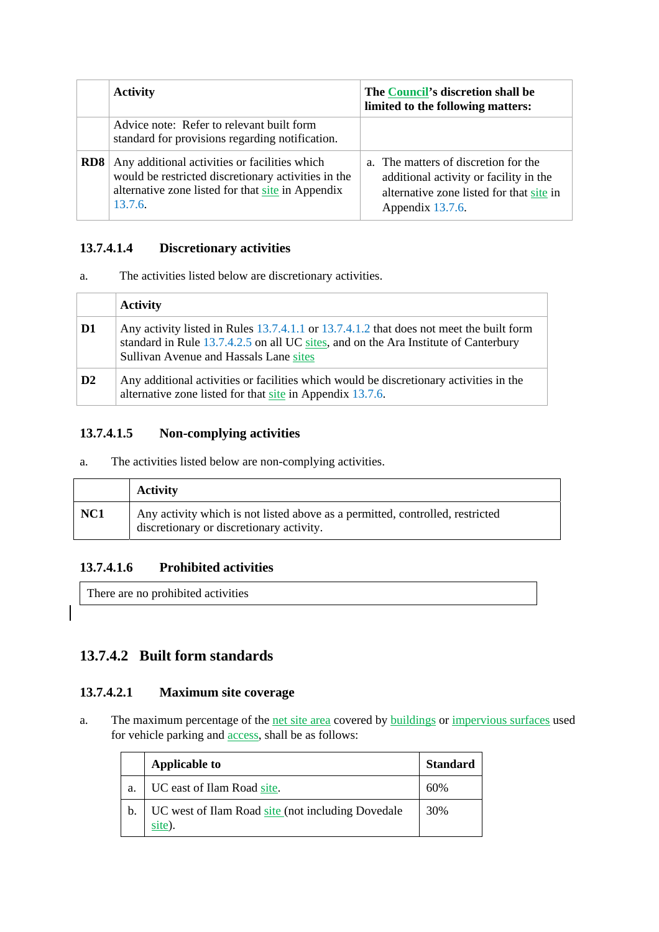|     | <b>Activity</b>                                                                                                                                                      | The Council's discretion shall be<br>limited to the following matters:                                                                         |
|-----|----------------------------------------------------------------------------------------------------------------------------------------------------------------------|------------------------------------------------------------------------------------------------------------------------------------------------|
|     | Advice note: Refer to relevant built form<br>standard for provisions regarding notification.                                                                         |                                                                                                                                                |
| RD8 | Any additional activities or facilities which<br>would be restricted discretionary activities in the<br>alternative zone listed for that site in Appendix<br>13.7.6. | a. The matters of discretion for the<br>additional activity or facility in the<br>alternative zone listed for that site in<br>Appendix 13.7.6. |

#### **13.7.4.1.4 Discretionary activities**

a. The activities listed below are discretionary activities.

|                | <b>Activity</b>                                                                                                                                                                                                          |
|----------------|--------------------------------------------------------------------------------------------------------------------------------------------------------------------------------------------------------------------------|
| D1             | Any activity listed in Rules 13.7.4.1.1 or 13.7.4.1.2 that does not meet the built form<br>standard in Rule 13.7.4.2.5 on all UC sites, and on the Ara Institute of Canterbury<br>Sullivan Avenue and Hassals Lane sites |
| D <sub>2</sub> | Any additional activities or facilities which would be discretionary activities in the<br>alternative zone listed for that site in Appendix 13.7.6.                                                                      |

### **13.7.4.1.5 Non-complying activities**

a. The activities listed below are non-complying activities.

|                 | <b>Activity</b>                                                                                                           |
|-----------------|---------------------------------------------------------------------------------------------------------------------------|
| NC <sub>1</sub> | Any activity which is not listed above as a permitted, controlled, restricted<br>discretionary or discretionary activity. |

#### **13.7.4.1.6 Prohibited activities**

There are no prohibited activities

#### **13.7.4.2 Built form standards**

#### **13.7.4.2.1 Maximum site coverage**

a. The maximum percentage of the net site area covered by buildings or impervious surfaces used for vehicle parking and access, shall be as follows:

|    | <b>Applicable to</b>                                        | <b>Standard</b> |
|----|-------------------------------------------------------------|-----------------|
| a. | UC east of Ilam Road site.                                  | 60%             |
|    | UC west of Ilam Road site (not including Dovedale<br>site). | 30%             |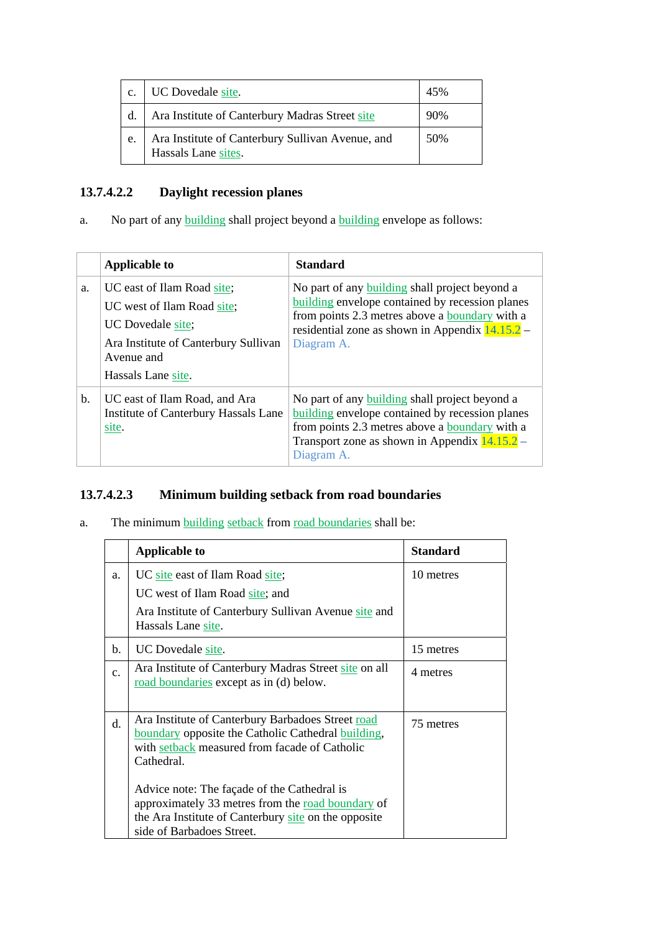| c. | UC Dovedale site.                                                       | 45% |
|----|-------------------------------------------------------------------------|-----|
| d. | Ara Institute of Canterbury Madras Street site                          | 90% |
| e. | Ara Institute of Canterbury Sullivan Avenue, and<br>Hassals Lane sites. | 50% |

## **13.7.4.2.2 Daylight recession planes**

a. No part of any **building** shall project beyond a **building** envelope as follows:

|                | <b>Applicable to</b>                                                                                                                                      | <b>Standard</b>                                                                                                                                                                                                                      |
|----------------|-----------------------------------------------------------------------------------------------------------------------------------------------------------|--------------------------------------------------------------------------------------------------------------------------------------------------------------------------------------------------------------------------------------|
| a.             | UC east of Ilam Road site;<br>UC west of Ilam Road site;<br>UC Dovedale site;<br>Ara Institute of Canterbury Sullivan<br>Avenue and<br>Hassals Lane site. | No part of any <b>building</b> shall project beyond a<br><b>building</b> envelope contained by recession planes<br>from points 2.3 metres above a boundary with a<br>residential zone as shown in Appendix $14.15.2$ –<br>Diagram A. |
| $\mathbf{b}$ . | UC east of Ilam Road, and Ara<br>Institute of Canterbury Hassals Lane<br>site.                                                                            | No part of any <b>building</b> shall project beyond a<br>building envelope contained by recession planes<br>from points 2.3 metres above a <b>boundary</b> with a<br>Transport zone as shown in Appendix $14.15.2$ –<br>Diagram A.   |

## **13.7.4.2.3 Minimum building setback from road boundaries**

a. The minimum building setback from road boundaries shall be:

|    | <b>Applicable to</b>                                                                                                                                                                                                                                                                                                                                            | <b>Standard</b> |
|----|-----------------------------------------------------------------------------------------------------------------------------------------------------------------------------------------------------------------------------------------------------------------------------------------------------------------------------------------------------------------|-----------------|
| a. | UC site east of Ilam Road site;                                                                                                                                                                                                                                                                                                                                 | 10 metres       |
|    | UC west of Ilam Road site; and                                                                                                                                                                                                                                                                                                                                  |                 |
|    | Ara Institute of Canterbury Sullivan Avenue site and<br>Hassals Lane site.                                                                                                                                                                                                                                                                                      |                 |
| b. | UC Dovedale site.                                                                                                                                                                                                                                                                                                                                               | 15 metres       |
| c. | Ara Institute of Canterbury Madras Street site on all<br>road boundaries except as in (d) below.                                                                                                                                                                                                                                                                | 4 metres        |
| d. | Ara Institute of Canterbury Barbadoes Street road<br>boundary opposite the Catholic Cathedral building,<br>with setback measured from facade of Catholic<br>Cathedral.<br>Advice note: The façade of the Cathedral is<br>approximately 33 metres from the road boundary of<br>the Ara Institute of Canterbury site on the opposite<br>side of Barbadoes Street. | 75 metres       |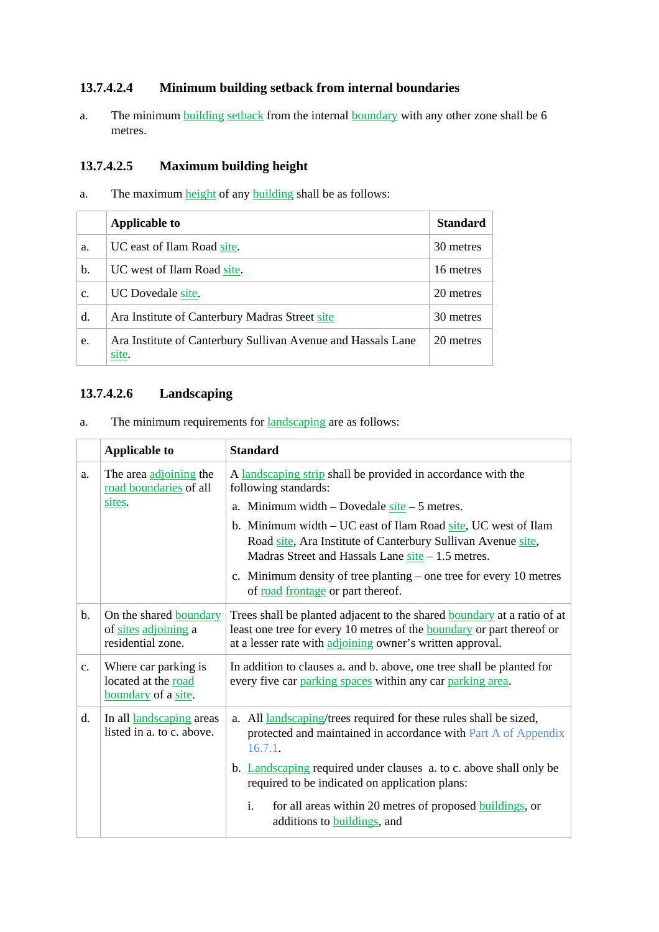#### **13.7.4.2.4 Minimum building setback from internal boundaries**

a. The minimum building setback from the internal boundary with any other zone shall be 6 metres.

### **13.7.4.2.5 Maximum building height**

a. The maximum height of any building shall be as follows:

|                | <b>Applicable to</b>                                                  | <b>Standard</b> |
|----------------|-----------------------------------------------------------------------|-----------------|
| a.             | UC east of Ilam Road site.                                            | 30 metres       |
| b.             | UC west of Ilam Road site.                                            | 16 metres       |
| $\mathbf{c}$ . | UC Dovedale site.                                                     | 20 metres       |
| d.             | Ara Institute of Canterbury Madras Street site                        | 30 metres       |
| e.             | Ara Institute of Canterbury Sullivan Avenue and Hassals Lane<br>site. | 20 metres       |

#### **13.7.4.2.6 Landscaping**

a. The minimum requirements for landscaping are as follows:

|               | <b>Applicable to</b>                                                       | <b>Standard</b>                                                                                                                                                                                                             |  |  |
|---------------|----------------------------------------------------------------------------|-----------------------------------------------------------------------------------------------------------------------------------------------------------------------------------------------------------------------------|--|--|
| a.            | The area adjoining the<br>road boundaries of all                           | A landscaping strip shall be provided in accordance with the<br>following standards:                                                                                                                                        |  |  |
|               | sites.                                                                     | a. Minimum width – Dovedale $site - 5$ metres.                                                                                                                                                                              |  |  |
|               |                                                                            | b. Minimum width – UC east of Ilam Road site, UC west of Ilam<br>Road site, Ara Institute of Canterbury Sullivan Avenue site,<br>Madras Street and Hassals Lane $site - 1.5$ metres.                                        |  |  |
|               |                                                                            | c. Minimum density of tree planting – one tree for every 10 metres<br>of road frontage or part thereof.                                                                                                                     |  |  |
| b.            | On the shared <b>boundary</b><br>of sites adjoining a<br>residential zone. | Trees shall be planted adjacent to the shared <b>boundary</b> at a ratio of at<br>least one tree for every 10 metres of the <b>boundary</b> or part thereof or<br>at a lesser rate with adjoining owner's written approval. |  |  |
| $C_{\bullet}$ | Where car parking is<br>located at the road<br>boundary of a site.         | In addition to clauses a. and b. above, one tree shall be planted for<br>every five car parking spaces within any car parking area.                                                                                         |  |  |
| d.            | In all landscaping areas<br>listed in a. to c. above.                      | a. All <i>landscaping</i> /trees required for these rules shall be sized,<br>protected and maintained in accordance with Part A of Appendix<br>16.7.1.                                                                      |  |  |
|               |                                                                            | b. Landscaping required under clauses a. to c. above shall only be<br>required to be indicated on application plans:                                                                                                        |  |  |
|               |                                                                            | for all areas within 20 metres of proposed buildings, or<br>i.<br>additions to buildings, and                                                                                                                               |  |  |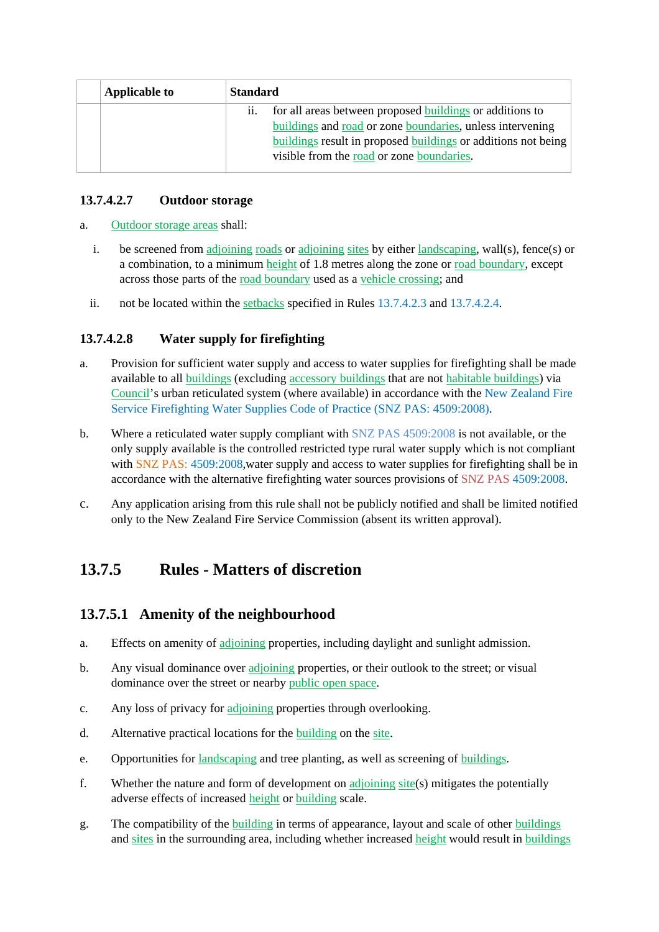| <b>Applicable to</b> | <b>Standard</b>   |                                                               |
|----------------------|-------------------|---------------------------------------------------------------|
|                      | $\overline{11}$ . | for all areas between proposed buildings or additions to      |
|                      |                   | buildings and road or zone boundaries, unless intervening     |
|                      |                   | buildings result in proposed buildings or additions not being |
|                      |                   | visible from the road or zone boundaries.                     |

#### **13.7.4.2.7 Outdoor storage**

- a. Outdoor storage areas shall:
	- i. be screened from adjoining roads or adjoining sites by either landscaping, wall(s), fence(s) or a combination, to a minimum height of 1.8 metres along the zone or road boundary, except across those parts of the road boundary used as a vehicle crossing; and
	- ii. not be located within the setbacks specified in Rules 13.7.4.2.3 and 13.7.4.2.4.

#### **13.7.4.2.8 Water supply for firefighting**

- a. Provision for sufficient water supply and access to water supplies for firefighting shall be made available to all buildings (excluding accessory buildings that are not habitable buildings) via Council's urban reticulated system (where available) in accordance with the New Zealand Fire Service Firefighting Water Supplies Code of Practice (SNZ PAS: 4509:2008).
- b. Where a reticulated water supply compliant with SNZ PAS 4509:2008 is not available, or the only supply available is the controlled restricted type rural water supply which is not compliant with SNZ PAS: 4509:2008, water supply and access to water supplies for firefighting shall be in accordance with the alternative firefighting water sources provisions of SNZ PAS 4509:2008.
- c. Any application arising from this rule shall not be publicly notified and shall be limited notified only to the New Zealand Fire Service Commission (absent its written approval).

## **13.7.5 Rules - Matters of discretion**

#### **13.7.5.1 Amenity of the neighbourhood**

- a. Effects on amenity of adjoining properties, including daylight and sunlight admission.
- b. Any visual dominance over adjoining properties, or their outlook to the street; or visual dominance over the street or nearby public open space.
- c. Any loss of privacy for adjoining properties through overlooking.
- d. Alternative practical locations for the building on the site.
- e. Opportunities for landscaping and tree planting, as well as screening of buildings.
- f. Whether the nature and form of development on adjoining site(s) mitigates the potentially adverse effects of increased height or building scale.
- g. The compatibility of the building in terms of appearance, layout and scale of other buildings and sites in the surrounding area, including whether increased height would result in buildings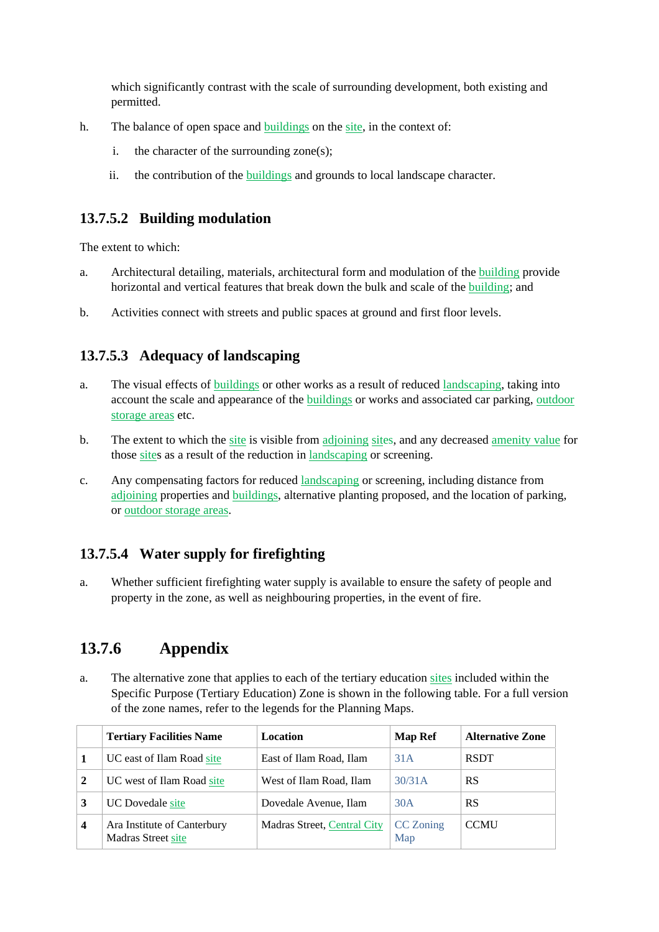which significantly contrast with the scale of surrounding development, both existing and permitted.

- h. The balance of open space and buildings on the site, in the context of:
	- i. the character of the surrounding zone(s);
	- ii. the contribution of the buildings and grounds to local landscape character.

### **13.7.5.2 Building modulation**

The extent to which:

- a. Architectural detailing, materials, architectural form and modulation of the building provide horizontal and vertical features that break down the bulk and scale of the building; and
- b. Activities connect with streets and public spaces at ground and first floor levels.

## **13.7.5.3 Adequacy of landscaping**

- a. The visual effects of buildings or other works as a result of reduced landscaping, taking into account the scale and appearance of the buildings or works and associated car parking, outdoor storage areas etc.
- b. The extent to which the site is visible from adjoining sites, and any decreased amenity value for those sites as a result of the reduction in landscaping or screening.
- c. Any compensating factors for reduced landscaping or screening, including distance from adjoining properties and buildings, alternative planting proposed, and the location of parking, or outdoor storage areas.

## **13.7.5.4 Water supply for firefighting**

a. Whether sufficient firefighting water supply is available to ensure the safety of people and property in the zone, as well as neighbouring properties, in the event of fire.

## **13.7.6 Appendix**

a. The alternative zone that applies to each of the tertiary education sites included within the Specific Purpose (Tertiary Education) Zone is shown in the following table. For a full version of the zone names, refer to the legends for the Planning Maps.

|                         | <b>Tertiary Facilities Name</b>                          | Location                    | <b>Map Ref</b>   | <b>Alternative Zone</b> |
|-------------------------|----------------------------------------------------------|-----------------------------|------------------|-------------------------|
|                         | UC east of Ilam Road site                                | East of Ilam Road, Ilam     | 31A              | <b>RSDT</b>             |
| 2                       | UC west of Ilam Road site                                | West of Ilam Road, Ilam     | 30/31A           | <b>RS</b>               |
| 3                       | <b>UC</b> Dovedale site                                  | Dovedale Avenue, Ilam       | 30A              | RS                      |
| $\overline{\mathbf{4}}$ | Ara Institute of Canterbury<br><b>Madras Street site</b> | Madras Street, Central City | CC Zoning<br>Map | <b>CCMU</b>             |